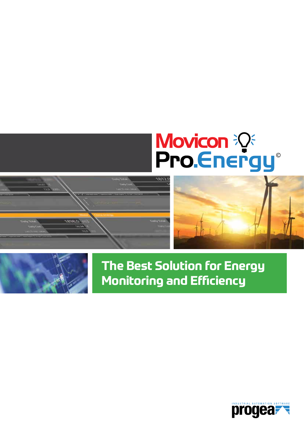

# Movicon  $\mathbb{R}^3$ <br>Pro.Energy







# **The Best Solution for Energy Monitoring and Efficiency**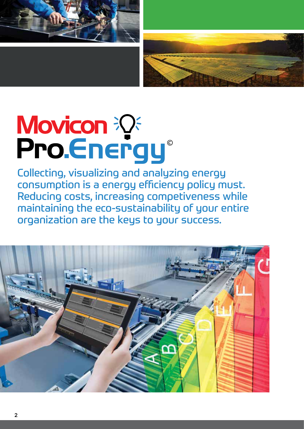



# Movicon ??<br>Pro Energy®

Collecting, visualizing and analyzing energy consumption is a energy efficiency policy must. Reducing costs, increasing competiveness while maintaining the eco-sustainability of your entire organization are the keys to your success.

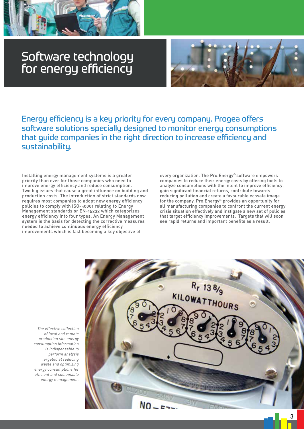

# Software technology for energy efficiency



Energy efficiency is a key priority for every company. Progea offers software solutions specially designed to monitor energy consumptions that guide companies in the right direction to increase efficiency and sustainability.

Installing energy management systems is a greater priority than ever for those companies who need to improve energy efficiency and reduce consumption. Two big issues that cause a great influence on building and production costs. The introduction of strict standards now requires most companies to adopt new energy efficiency policies to comply with ISO-50001 relating to Energy Management standards or EN-15232 which categorizes energy efficiency into four types. An Energy Management system is the basis for detecting the corrective measures needed to achieve continuous energy efficiency improvements which is fast becoming a key objective of

every organization. The Pro.Energy© software empowers companies to reduce their energy costs by offering tools to analyze consumptions with the intent to improve efficiency, gain significant financial returns, contribute towards reducing pollution and create a favourable ecosafe image for the company. Pro.Energy© provides an opportunity for all manufacturing companies to confront the current energy crisis situation effectively and instigate a new set of policies that target efficiency improvements. Targets that will soon see rapid returns and important benefits as a result.

*The effective collection of local and remote production site energy consumption information is indispensable to perform analysis targeted at reducing waste and optimizing energy consumptions for efficient and sustainable energy management.*

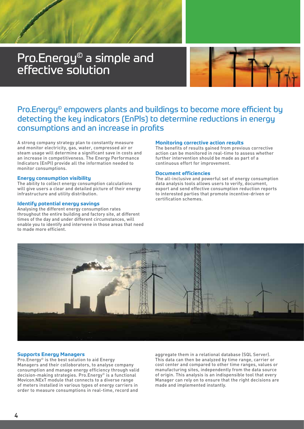# Pro.Energy© a simple and effective solution



## Pro.Energy© empowers plants and buildings to become more efficient by detecting the key indicators (EnPls) to determine reductions in energy consumptions and an increase in profits

A strong company strategy plan to constantly measure and monitor electricity, gas, water, compressed air or steam usage will determine a significant save in costs and an increase in competitiveness. The Energy Performance Indicators (EnPI) provide all the information needed to monitor consumptions.

#### **Energy consumption visibility**

The ability to collect energy consumption calculations will give users a clear and detailed picture of their energy infrastructure and utility distribution.

#### **Identify potential energy savings**

Analysing the different energy consumption rates throughout the entire building and factory site, at different times of the day and under different circumstances, will enable you to identify and intervene in those areas that need to made more efficient.

#### **Monitoring corrective action results**

The benefits of results gained from previous corrective action can be monitored in real-time to assess whether further intervention should be made as part of a continuous effort for improvement.

#### **Document efficiencies**

The all-inclusive and powerful set of energy consumption data analysis tools allows users to verify, document, export and send effective consumption reduction reports to interested parties that promote incentive-driven or certification schemes.



#### **Supports Energy Managers**

Pro.Energy© is the best solution to aid Energy Managers and their colloborators, to analyse company consumption and manage energy efficiency through valid decision-making strategies. Pro.Energy© is a functional Movicon.NExT module that connects to a diverse range of meters installed in various types of energy carriers in order to measure consumptions in real-time, record and

aggregate them in a relational database (SQL Server). This data can then be analyzed by time range, carrier or cost center and compared to other time ranges, values or manufacturing sites, independently from the data source of origin. This analysis is an indispensible tool that every Manager can rely on to ensure that the right decisions are made and implemented instantly.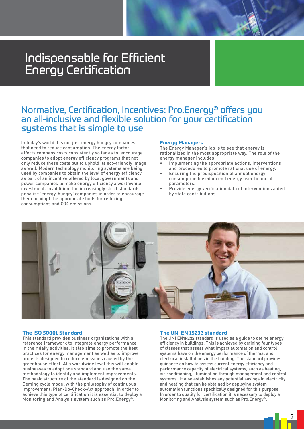## Indispensable for Efficient Energy Certification

## Normative, Certification, Incentives: Pro.Energy© offers you an all-inclusive and flexible solution for your certification systems that is simple to use

In today's world it is not just energy hungry companies that need to reduce consumption. The energy factor affects company costs consistently so far as to encourage companies to adopt energy efficiency programs that not only reduce these costs but to uphold its eco-friendly image as well. Modern technology monitoring systems are being used by companies to obtain the level of energy efficiency as part of an incentive offered by local governments and power companies to make energy efficiency a worthwhile investment. In addition, the increasingly strict standards penalize 'energy-hungry' companies in order to encourage them to adopt the appropriate tools for reducing consumptions and CO2 emissions.

#### **Energy Managers**

The Energy Manager's job is to see that energy is rationalized in the most appropriate way. The role of the energy manager includes:

- Implementing the appropriate actions, interventions and procedures to promote rational use of energy.
- Ensuring the predisposition of annual energy consumption based on end energy user financial parameters.
- Provide energy verification data of interventions aided by state contributions.



#### **The ISO 50001 Standard**

This standard provides business organizations with a reference framework to integrate energy performance in their daily activities. It also aims to promote the best practices for energy management as well as to improve projects designed to reduce emissions caused by the greenhouse effect. At a worldwide level this will enable businesses to adopt one standard and use the same methodology to identify and implement improvements. The basic structure of the standard is designed on the Deming cycle model with the philosophy of continuous improvement: Plan-Do-Check-Act approach. In order to achieve this type of certification it is essential to deploy a Monitoring and Analysis system such as Pro.Energy©.

#### **The UNI EN 15232 standard**

The UNI EN15232 standard is used as a guide to define energy efficiency in buildings. This is achieved by defining four types of classes that assess what impact automation and control systems have on the energy performance of thermal and electrical installations in the building. The standard provides guidance on how to assess current energy efficiency and performance capacity of electrical systems, such as heating, air conditioning, illumination through management and control systems. It also establishes any potential savings in electricity and heating that can be obtained by deploying system automation functions specifically designed for this purpose. In order to quality for certification it is necessary to deploy a Monitoring and Analysis system such as Pro.Energy©.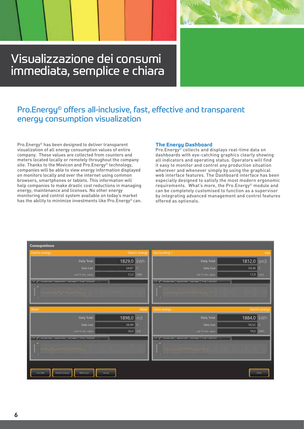# Visualizzazione dei consumi immediata, semplice e chiara

## Pro.Energy© offers all-inclusive, fast, effective and transparent energy consumption visualization

Pro.Energy© has been designed to deliver transparent visualization of all energy consumption values of entire company. These values are collected from counters and meters located locally or remotely throughout the company site. Thanks to the Movicon and Pro.Energy<sup>®</sup> technology, companies will be able to view energy information displayed on monitors locally and over the internet using common browsers, smartphones or tablets. This information will help companies to make drastic cost reductions in managing energy, maintenance and licenses. No other energy monitoring and control system available on today's market has the ability to minimize investments like Pro. Energy<sup>®</sup> can.

#### **The Energy Dashboard**

Pro.Energy© collects and displays real-time data on dashboards with eye-catching graphics clearly showing all indicators and operating status. Operators will find it easy to monitor and control any production situation wherever and whenever simply by using the graphical web interface features. The Dashboard interface has been especially designed to satisfy the most modern ergonomic requirements. What's more, the Pro.Energy© module and can be completely customised to function as a supervisor by integrating advanced management and control features offered as optionals.

| <b>Consupmtions</b>                                                                                                                                                                                                                  |                       |                                                           |                 |
|--------------------------------------------------------------------------------------------------------------------------------------------------------------------------------------------------------------------------------------|-----------------------|-----------------------------------------------------------|-----------------|
| Electric energy                                                                                                                                                                                                                      | Electric energy       | Gas building.1                                            |                 |
| Daily Total:                                                                                                                                                                                                                         | 1829,0 kWh            | Daily Total:                                              | 1812,0 sm3      |
| Daily Cost                                                                                                                                                                                                                           | $54,87$ $E$           | <b>Cary Cost:</b>                                         | 54,36 €         |
| Dail 15 min. liable                                                                                                                                                                                                                  | 12.0 kwh              | Last 15 min. solve.                                       | 17,0 sm3        |
| [2012] Sciences (September 1999) State (1999) -                                                                                                                                                                                      |                       | [A] All monetable ( Continents   Indicate   Main   Imperi |                 |
| <b>CONTRACTOR</b>                                                                                                                                                                                                                    |                       |                                                           |                 |
| Water                                                                                                                                                                                                                                | Winter                | Clima energy                                              | Electric energy |
| Daily Total:                                                                                                                                                                                                                         | 1898,0 m3             | Daily Total:                                              | 1884,0 kWh      |
| Daily Cost                                                                                                                                                                                                                           | 56,94                 | Daily Cost                                                | 56,52 $\in$     |
| List Birms value                                                                                                                                                                                                                     | $16,0$ m <sup>3</sup> | Last 15 most yanar.                                       | 10,0 kwh        |
| <b>EXIVAL PRODUCTION CONTINUES INTO A REPORT OF A STATE OF A REPORT OF A STATE OF A REPORT OF A REPORT OF A REPORT OF A REPORT OF A REPORT OF A REPORT OF A REPORT OF A REPORT OF A REPORT OF A REPORT OF A REPORT OF A REPORT O</b> |                       | AS AS CONTRACTOR COMMUNICATION CONTRACTOR                 |                 |
| <b>And the second Alexander</b>                                                                                                                                                                                                      |                       |                                                           |                 |
| <b>Cort Sales</b><br><b>Periodo Company</b><br>Motor Chart<br>Simular                                                                                                                                                                |                       |                                                           | <b>Thirty</b>   |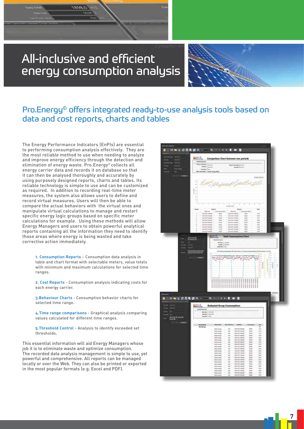# All-inclusive and efficient energy consumption analysis



## Pro.Energy© offers integrated ready-to-use analysis tools based on data and cost reports, charts and tables

The Energy Performance Indicators (EnPIs) are essential to performing consumption analysis effectively. They are the most reliable method to use when needing to analyze and improve energy efficiency through the detection and elimination of energy waste. Pro.Energy© collects all energy carrier data and records it on database so that it can then be analysed thoroughly and accurately by using purposely designed reports, charts and tables. Its reliable technology is simple to use and can be customized as required. In addition to recording real-time meter measures, the system also allows users to define and record virtual measures. Users will then be able to compare the actual behaviors with the virtual ones and manipulate virtual calculations to manage and restart specific energy logic groups based on specific meter calculations for example. Using these methods will allow Energy Managers and users to obtain powerful analytical reports containing all the information they need to identify those areas where energy is being wasted and take corrective action immediately.

> **1. Consumption Reports** – Consumption data analysis in table and chart format with selectable meters, value totals with minimum and maximum calculations for selected time ranges.

> **2. Cost Reports** - Consumption analysis indicating costs for each energy carrier.

**3.Behaviour Charts** - Consumption behavior charts for selected time range.

**4.Time range comparisons** - Graphical analysis comparing values calculated for different time ranges.

**5.Threshold Control** - Analysis to identify exceeded set thresholds.

This essential information will aid Energy Managers whose job it is to eliminate waste and optimize consumption. The recorded data analysis management is simple to use, yet powerful and comprehensive. All reports can be managed locally or over the Web. They can also be printed or exported in the most popular formats (e.g. Excel and PDF).

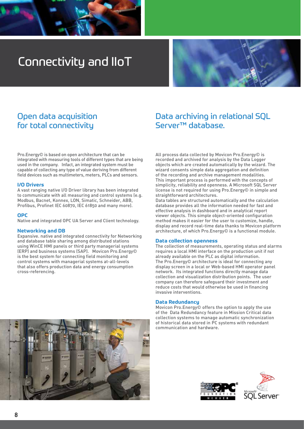

# Connectivity and IIoT



## Open data acquisition for total connectivity

Pro.Energy© is based on open architecture that can be integrated with measuring tools of different types that are being used in the company. Infact, an integrated system must be capable of collecting any type of value deriving from different field devices such as multimeters, meters, PLCs and sensors.

#### **I/O Drivers**

A vast ranging native I/O Driver library has been integrated to communicate with all measuring and control systems (e.g. Modbus, Bacnet, Konnex, LON, Simatic, Schneider, ABB, Profibus, Profinet IEC 60870, IEC 61850 and many more).

#### **OPC**

Native and integrated OPC UA Server and Client technology.

#### **Networking and DB**

Expansive. native and integrated connectivity for Networking and database table sharing among distributed stations using WinCE HMI panels or third party managerial systems (ERP) and business systems (SAP). Movicon Pro.Energy© is the best system for connecting field monitoring and control systems with managerial systems at-all-levels that also offers production data and energy consumption cross-referencing.

### Data archiving in relational SQL Server™ database.

All process data collected by Movicon Pro.Energy© is recorded and archived for analysis by the Data Logger objects which are created automatically by the wizard. The wizard consents simple data aggregation and definition of the recording and archive management modalities. This important process is performed with the concepts of simplicity, reliability and openness. A Microsoft SQL Server license is not required for using Pro.Energy© in simple and straightforward architectures.

Data tables are structured automatically and the calculation database provides all the information needed for fast and effective analysis in dashboard and in analytical report viewer objects. This simple object-oriented configuration method makes it easier for the user to customize, handle, display and record real-time data thanks to Movicon platform architecture, of which Pro.Energy© is a functional module.

#### **Data collection openness**

The collection of measurements, operating status and alarms requires a local HMI interface on the production unit if not already available on the PLC as digital information. The Pro.Energy© architecture is ideal for connecting any display screen in a local or Web-based HMI operator panel network. Its integrated functions directly manage data collection and visualization distribution points. The user company can therefore safeguard their investment and reduce costs that would otherwise be used in financing invasive interventions.

#### **Data Redundancy**

Movicon Pro.Energy© offers the option to apply the use of the Data Redundancy feature in Mission Critical data collection systems to manage automatic synchronization of historical data stored in PC systems with redundant communication and hardware.



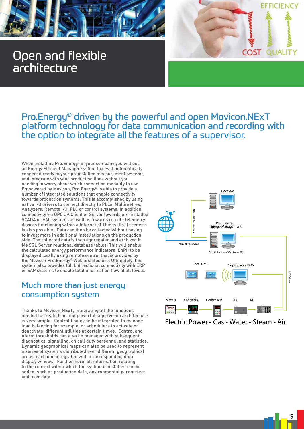





## Pro.Energy© driven by the powerful and open Movicon.NExT platform technology for data communication and recording with the option to integrate all the features of a supervisor.

When installing Pro.Energy<sup>®</sup> in your company you will get an Energy Efficient Manager system that will automatically connect directly to your preinstalled measurement systems and integrate with your production lines without you needing to worry about which connection modality to use. Empowered by Movicon, Pro.Energy© is able to provide a number of integrated solutions that enable connectivity towards production systems. This is accomplished by using native I/O drivers to connect directly to PLCs, Multimetres, Analyzers, Remote I/O, PLC or control systems. In addition, connectivity via OPC UA Client or Server towards pre-installed SCADA or HMI systems as well as towards remote telemetry devices functioning within a Internet of Things (IIoT) scenerio is also possible. Data can then be collected without having to invest more in additional installations on the production side. The collected data is then aggregated and archived in Ms SQL Server relational database tables. This will enable the calculated energy performance indicators (EnPI) to be displayed locally using remote control that is provided by the Movicon Pro.Energy© Web architecture. Ultimately, the system also provides full bidirectional connectivity with ERP or SAP systems to enable total information flow at all levels.

## Much more than just energy consumption system

Thanks to Movicon.NExT, integrating all the functions needed to create true and powerful supervision architecture is very simple. Control Logic can be integrated to manage load balancing for example, or schedulers to activate or deactivate different utilities at certain times. Control and Alarm thresholds can also be managed with subsequent diagnostics, signalling, on call duty personnel and statistics. Dynamic geographical maps can also be used to represent a series of systems distributed over different geographical areas, each one integrated with a corresponding data display window. Furthermore, all information relating to the context within which the system is installed can be added, such as production data, environmental parameters and user data.

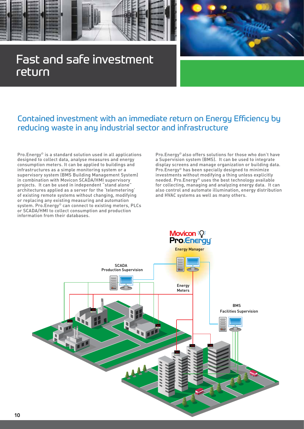

# complete the complete state of the complete state of the complete state of the complete state of the complete state of the complete state of the complete state of the complete state of the complete state of the complete st Fast and safe investment<br>return return



## Contained investment with an immediate return on Energy Efficiency by reducing waste in any industrial sector and infrastructure

Pro.Energy© is a standard solution used in all applications designed to collect data, analyse measures and energy consumption meters. It can be applied to buildings and infrastructures as a simple monitoring system or a supervisory system (BMS Building Management System) supervisory system (STTS SCADA/HMI supervisory projects. It can be used in independent "stand alone" architectures applied as a server for the 'telemetering' of existing remote systems without changing, modifying or replacing any existing measuring and automation system. Pro.Energy<sup>®</sup> can connect to existing meters, PLCs or SCADA/HMI to collect consumption and production information from their databases.

Pro.Energy© also offers solutions for those who don't have a Supervision system (BMS). It can be used to integrate display screens and manage organization or building data. Pro.Energy© has been specially designed to minimize investments without modifying a thing unless explicitly needed. Pro.Energy© uses the best technology available for collecting, managing and analyzing energy data. It can also control and automate illumination, energy distribution and HVAC systems as well as many others.

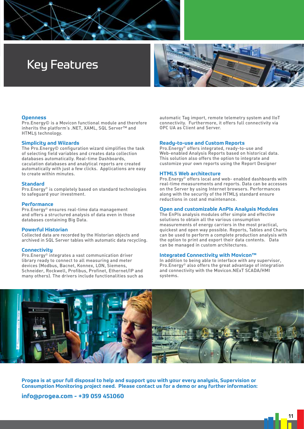

# Key Features



#### **Openness**

Pro.Energy© is a Movicon functional module and therefore inherits the platform's .NET, XAML, SQL Server™ and HTML5 technology.

#### **Simplicity and Wiizards**

The Pro.Energy© configuration wizard simplifies the task of selecting field variables and creates data collection databases automatically. Real-time Dashboards, caculation databases and analytical reports are created automatically with just a few clicks. Applications are easy to create within minutes.

#### **Standard**

Pro.Energy© is completely based on standard technologies to safeguard your investment.

#### **Performance**

Pro.Energy© ensures real-time data management and offers a structured analysis of data even in those databases containing Big Data.

#### **Powerful Historian**

Collected data are recorded by the Historian objects and archived in SQL Server tables with automatic data recycling.

#### **Connectivity**

Pro.Energy© integrates a vast communication driver library ready to connect to all measuring and meter devices (Modbus, Bacnet, Konnex, LON, Siemens, Schneider, Rockwell, Profibus, Profinet, Ethernet/IP and many others). The drivers include functionalities such as automatic Tag import, remote telemetry system and IIoT connectivity. Furthermore, it offers full connectivity via OPC UA as Client and Server.

#### **Ready-to-use and Custom Reports**

Pro.Energy© offers integrated, ready-to-use and Web-enabled Analysis Reports based on historical data. This solution also offers the option to integrate and customize your own reports using the Report Designer

#### **HTML5 Web architecture**

Pro.Energy© offers local and web- enabled dashboards with real-time measurements and reports. Data can be accesses on the Server by using Internet browsers. Performances along with the security of the HTML5 standard ensure reductions in cost and maintenance.

#### **Open and customizable AnPIs Analysis Modules**

The EnPIs analysis modules offer simple and effective solutions to obtain all the various consumption measurements of energy carriers in the most practical, quickest and open way possible. Reports, Tables and Charts can be used to perform a compIete production analysis with the option to print and export their data contents. Data can be managed in custom architectures.

#### **Integrated Connectivity with Movicon™**

In addition to being able to interface with any supervisor, Pro.Energy© also offers the great advantage of integration and connectivity with the Movicon.NExT SCADA/HMI systems.



**Progea is at your full disposal to help and support you with your every analysis, Supervision or Consumption Monitoring project need. Please contact us for a demo or any further information:**

#### **info@progea.com - +39 059 451060**